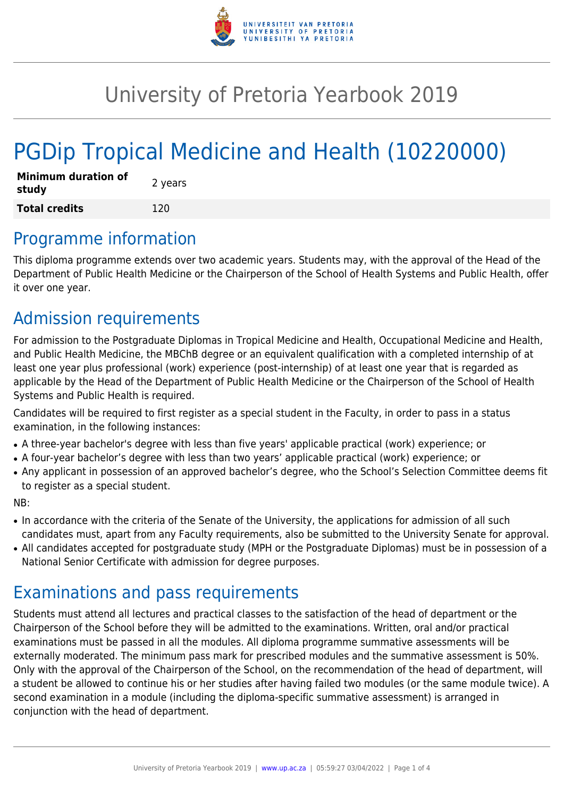

# University of Pretoria Yearbook 2019

# PGDip Tropical Medicine and Health (10220000)

| <b>Minimum duration of</b><br>study | 2 years |
|-------------------------------------|---------|
| <b>Total credits</b>                | 120     |

### Programme information

This diploma programme extends over two academic years. Students may, with the approval of the Head of the Department of Public Health Medicine or the Chairperson of the School of Health Systems and Public Health, offer it over one year.

### Admission requirements

For admission to the Postgraduate Diplomas in Tropical Medicine and Health, Occupational Medicine and Health, and Public Health Medicine, the MBChB degree or an equivalent qualification with a completed internship of at least one year plus professional (work) experience (post-internship) of at least one year that is regarded as applicable by the Head of the Department of Public Health Medicine or the Chairperson of the School of Health Systems and Public Health is required.

Candidates will be required to first register as a special student in the Faculty, in order to pass in a status examination, in the following instances:

- A three-year bachelor's degree with less than five years' applicable practical (work) experience; or
- A four-year bachelor's degree with less than two years' applicable practical (work) experience; or
- Any applicant in possession of an approved bachelor's degree, who the School's Selection Committee deems fit to register as a special student.

#### NB:

- In accordance with the criteria of the Senate of the University, the applications for admission of all such candidates must, apart from any Faculty requirements, also be submitted to the University Senate for approval.
- All candidates accepted for postgraduate study (MPH or the Postgraduate Diplomas) must be in possession of a National Senior Certificate with admission for degree purposes.

## Examinations and pass requirements

Students must attend all lectures and practical classes to the satisfaction of the head of department or the Chairperson of the School before they will be admitted to the examinations. Written, oral and/or practical examinations must be passed in all the modules. All diploma programme summative assessments will be externally moderated. The minimum pass mark for prescribed modules and the summative assessment is 50%. Only with the approval of the Chairperson of the School, on the recommendation of the head of department, will a student be allowed to continue his or her studies after having failed two modules (or the same module twice). A second examination in a module (including the diploma-specific summative assessment) is arranged in conjunction with the head of department.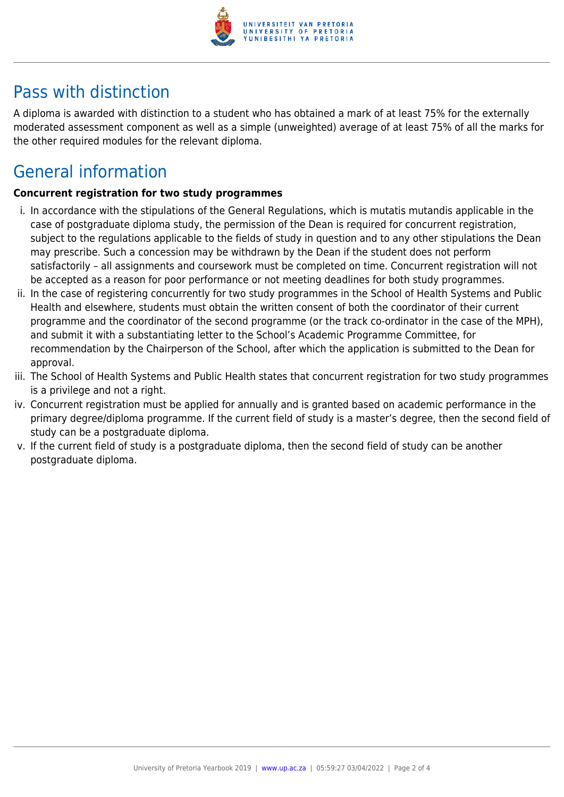

## Pass with distinction

A diploma is awarded with distinction to a student who has obtained a mark of at least 75% for the externally moderated assessment component as well as a simple (unweighted) average of at least 75% of all the marks for the other required modules for the relevant diploma.

## General information

#### **Concurrent registration for two study programmes**

- i. In accordance with the stipulations of the General Regulations, which is mutatis mutandis applicable in the case of postgraduate diploma study, the permission of the Dean is required for concurrent registration, subject to the regulations applicable to the fields of study in question and to any other stipulations the Dean may prescribe. Such a concession may be withdrawn by the Dean if the student does not perform satisfactorily – all assignments and coursework must be completed on time. Concurrent registration will not be accepted as a reason for poor performance or not meeting deadlines for both study programmes.
- ii. In the case of registering concurrently for two study programmes in the School of Health Systems and Public Health and elsewhere, students must obtain the written consent of both the coordinator of their current programme and the coordinator of the second programme (or the track co-ordinator in the case of the MPH), and submit it with a substantiating letter to the School's Academic Programme Committee, for recommendation by the Chairperson of the School, after which the application is submitted to the Dean for approval.
- iii. The School of Health Systems and Public Health states that concurrent registration for two study programmes is a privilege and not a right.
- iv. Concurrent registration must be applied for annually and is granted based on academic performance in the primary degree/diploma programme. If the current field of study is a master's degree, then the second field of study can be a postgraduate diploma.
- v. If the current field of study is a postgraduate diploma, then the second field of study can be another postgraduate diploma.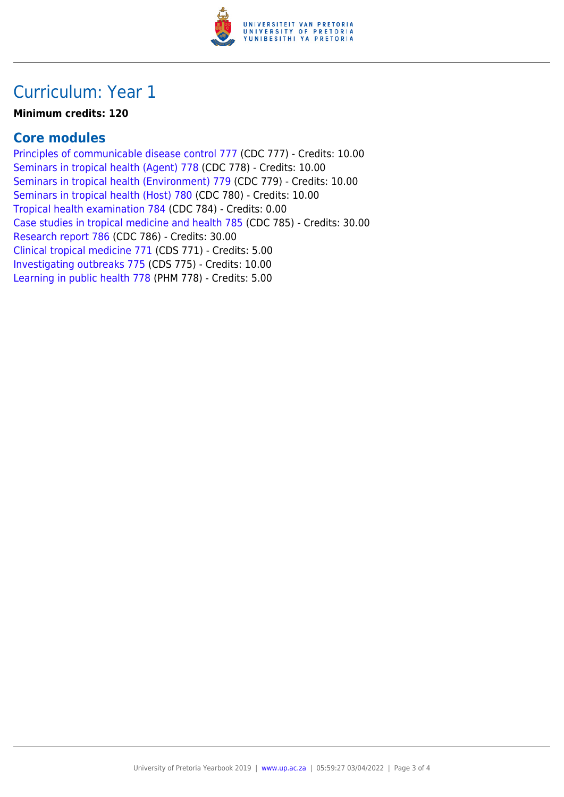

## Curriculum: Year 1

#### **Minimum credits: 120**

### **Core modules**

[Principles of communicable disease control 777](https://www.up.ac.za/parents/yearbooks/2019/modules/view/CDC 777) (CDC 777) - Credits: 10.00 [Seminars in tropical health \(Agent\) 778](https://www.up.ac.za/parents/yearbooks/2019/modules/view/CDC 778) (CDC 778) - Credits: 10.00 [Seminars in tropical health \(Environment\) 779](https://www.up.ac.za/parents/yearbooks/2019/modules/view/CDC 779) (CDC 779) - Credits: 10.00 [Seminars in tropical health \(Host\) 780](https://www.up.ac.za/parents/yearbooks/2019/modules/view/CDC 780) (CDC 780) - Credits: 10.00 [Tropical health examination 784](https://www.up.ac.za/parents/yearbooks/2019/modules/view/CDC 784) (CDC 784) - Credits: 0.00 [Case studies in tropical medicine and health 785](https://www.up.ac.za/parents/yearbooks/2019/modules/view/CDC 785) (CDC 785) - Credits: 30.00 [Research report 786](https://www.up.ac.za/parents/yearbooks/2019/modules/view/CDC 786) (CDC 786) - Credits: 30.00 [Clinical tropical medicine 771](https://www.up.ac.za/parents/yearbooks/2019/modules/view/CDS 771) (CDS 771) - Credits: 5.00 [Investigating outbreaks 775](https://www.up.ac.za/parents/yearbooks/2019/modules/view/CDS 775) (CDS 775) - Credits: 10.00 [Learning in public health 778](https://www.up.ac.za/parents/yearbooks/2019/modules/view/PHM 778) (PHM 778) - Credits: 5.00